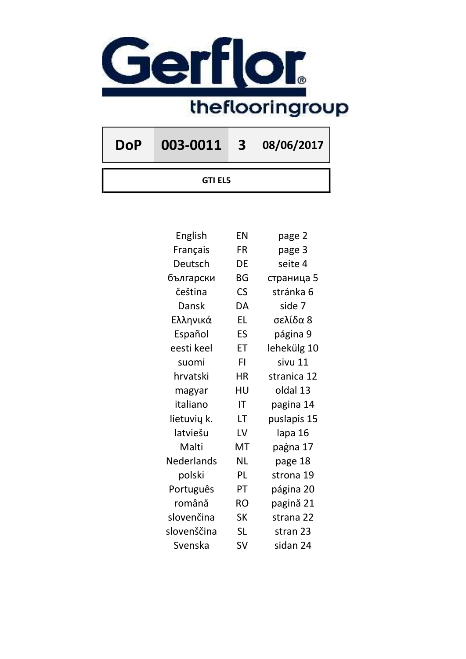

DoP 003-0011 3 08/06/2017

GTI EL5

| English     | EN                       | page 2      |
|-------------|--------------------------|-------------|
| Français    | FR                       | page 3      |
| Deutsch     | DE                       | seite 4     |
| български   | BG                       | страница 5  |
| čeština     | $\mathsf{CS}\phantom{0}$ | stránka 6   |
| Dansk       | DA                       | side 7      |
| Ελληνικά    | <b>EL</b>                | σελίδα 8    |
| Español     | ES                       | página 9    |
| eesti keel  | ET                       | lehekülg 10 |
| suomi       | FI.                      | sivu 11     |
| hrvatski    | <b>HR</b>                | stranica 12 |
| magyar      | HU                       | oldal 13    |
| italiano    | ΙT                       | pagina 14   |
| lietuvių k. | LT                       | puslapis 15 |
| latviešu    | LV                       | lapa 16     |
| Malti       | MT                       | paġna 17    |
| Nederlands  | <b>NL</b>                | page 18     |
| polski      | PL                       | strona 19   |
| Português   | PT                       | página 20   |
| română      | <b>RO</b>                | pagină 21   |
| slovenčina  | <b>SK</b>                | strana 22   |
| slovenščina | <b>SL</b>                | stran 23    |
| Svenska     | SV                       | sidan 24    |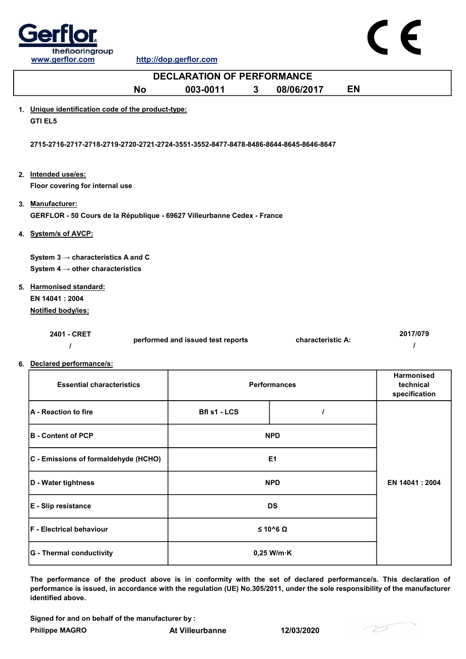

| <b>DECLARATION OF PERFORMANCE</b>                                                              |                                   |                     |           |                                          |  |
|------------------------------------------------------------------------------------------------|-----------------------------------|---------------------|-----------|------------------------------------------|--|
| <b>No</b>                                                                                      | 003-0011<br>$\mathbf{3}$          | 08/06/2017          | <b>EN</b> |                                          |  |
| 1. Unique identification code of the product-type:<br><b>GTI EL5</b>                           |                                   |                     |           |                                          |  |
| 2715-2716-2717-2718-2719-2720-2721-2724-3551-3552-8477-8478-8486-8644-8645-8646-8647           |                                   |                     |           |                                          |  |
| 2. Intended use/es:<br>Floor covering for internal use                                         |                                   |                     |           |                                          |  |
| 3. Manufacturer:<br>GERFLOR - 50 Cours de la République - 69627 Villeurbanne Cedex - France    |                                   |                     |           |                                          |  |
| 4. System/s of AVCP:                                                                           |                                   |                     |           |                                          |  |
| System $3 \rightarrow$ characteristics A and C<br>System 4 $\rightarrow$ other characteristics |                                   |                     |           |                                          |  |
| 5. Harmonised standard:<br>EN 14041: 2004<br>Notified body/ies:                                |                                   |                     |           |                                          |  |
| 2401 - CRET<br>$\prime$                                                                        | performed and issued test reports | characteristic A:   |           | 2017/079<br>I                            |  |
| 6. Declared performance/s:                                                                     |                                   |                     |           |                                          |  |
| <b>Essential characteristics</b>                                                               |                                   | <b>Performances</b> |           | Harmonised<br>technical<br>specification |  |
| <b>A</b> - Reaction to fire                                                                    | <b>Bfl s1 - LCS</b>               | $\prime$            |           |                                          |  |
| <b>B</b> - Content of PCP                                                                      |                                   | <b>NPD</b>          |           |                                          |  |
| C - Emissions of formaldehyde (HCHO)                                                           |                                   | E1                  |           |                                          |  |
| D - Water tightness                                                                            |                                   | <b>NPD</b>          |           | EN 14041: 2004                           |  |

| $ U - V $ results in the set of $ U - V $ | IVE D                | <b>EN 14041.Z004</b> |
|-------------------------------------------|----------------------|----------------------|
| <b>E</b> - Slip resistance                | <b>DS</b>            |                      |
| <b>F</b> - Electrical behaviour           | $≤ 10^6 Ω$           |                      |
| <b>G</b> - Thermal conductivity           | $0,25$ W/m $\cdot$ K |                      |

The performance of the product above is in conformity with the set of declared performance/s. This declaration of performance is issued, in accordance with the regulation (UE) No.305/2011, under the sole responsibility of the manufacturer identified above.

Signed for and on behalf of the manufacturer by :

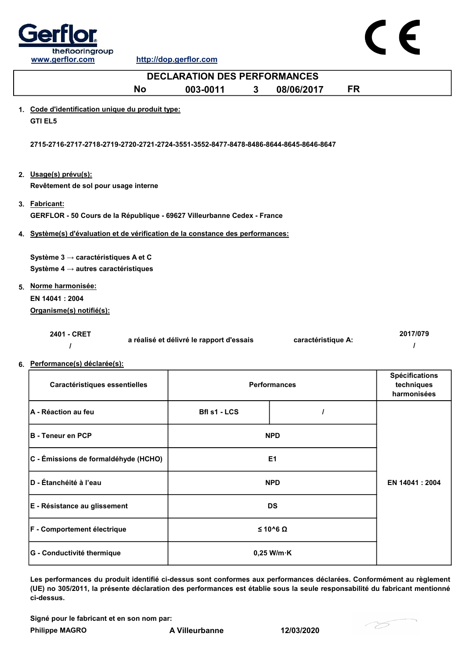

| <b>DECLARATION DES PERFORMANCES</b>                                                      |                                          |   |                     |           |                                                    |  |
|------------------------------------------------------------------------------------------|------------------------------------------|---|---------------------|-----------|----------------------------------------------------|--|
| <b>No</b>                                                                                | 003-0011                                 | 3 | 08/06/2017          | <b>FR</b> |                                                    |  |
| 1. Code d'identification unique du produit type:<br><b>GTI EL5</b>                       |                                          |   |                     |           |                                                    |  |
| 2715-2716-2717-2718-2719-2720-2721-2724-3551-3552-8477-8478-8486-8644-8645-8646-8647     |                                          |   |                     |           |                                                    |  |
| 2. Usage(s) prévu(s):<br>Revêtement de sol pour usage interne                            |                                          |   |                     |           |                                                    |  |
| 3. Fabricant:<br>GERFLOR - 50 Cours de la République - 69627 Villeurbanne Cedex - France |                                          |   |                     |           |                                                    |  |
| 4. Système(s) d'évaluation et de vérification de la constance des performances:          |                                          |   |                     |           |                                                    |  |
| Système 3 → caractéristiques A et C<br>Système 4 $\rightarrow$ autres caractéristiques   |                                          |   |                     |           |                                                    |  |
| 5. Norme harmonisée:<br>EN 14041 : 2004<br>Organisme(s) notifié(s):                      |                                          |   |                     |           |                                                    |  |
| 2401 - CRET                                                                              | a réalisé et délivré le rapport d'essais |   | caractéristique A:  |           | 2017/079<br>1                                      |  |
| 6. Performance(s) déclarée(s):                                                           |                                          |   |                     |           |                                                    |  |
| Caractéristiques essentielles                                                            |                                          |   | <b>Performances</b> |           | <b>Spécifications</b><br>techniques<br>harmonisées |  |
| A - Réaction au feu                                                                      | <b>Bfl s1 - LCS</b>                      |   | $\prime$            |           |                                                    |  |
| <b>B</b> - Teneur en PCP                                                                 |                                          |   | <b>NPD</b>          |           |                                                    |  |
| C - Émissions de formaldéhyde (HCHO)                                                     |                                          |   | E <sub>1</sub>      |           |                                                    |  |
| D - Étanchéité à l'eau                                                                   |                                          |   | <b>NPD</b>          |           | EN 14041 : 2004                                    |  |

G - Conductivité thermique **Constanting the Conductivité thermique** de anti-E - Résistance au glissement de la proponent de DS F - Comportement électrique  $≤ 10<sup>6</sup> Ω$ 

Les performances du produit identifié ci-dessus sont conformes aux performances déclarées. Conformément au règlement (UE) no 305/2011, la présente déclaration des performances est établie sous la seule responsabilité du fabricant mentionné ci-dessus.

Signé pour le fabricant et en son nom par:

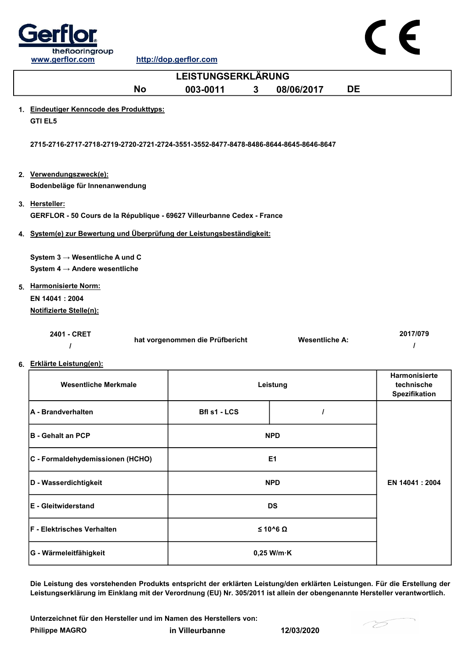

| www.gerflor.com                                                                           | http://dop.gerflor.com          |          |                       |                                              |                      |  |  |
|-------------------------------------------------------------------------------------------|---------------------------------|----------|-----------------------|----------------------------------------------|----------------------|--|--|
| <b>LEISTUNGSERKLÄRUNG</b>                                                                 |                                 |          |                       |                                              |                      |  |  |
| <b>No</b>                                                                                 | 003-0011                        | 3        | 08/06/2017            | <b>DE</b>                                    |                      |  |  |
| 1. Eindeutiger Kenncode des Produkttyps:<br><b>GTI EL5</b>                                |                                 |          |                       |                                              |                      |  |  |
| 2715-2716-2717-2718-2719-2720-2721-2724-3551-3552-8477-8478-8486-8644-8645-8646-8647      |                                 |          |                       |                                              |                      |  |  |
| 2. Verwendungszweck(e):<br>Bodenbeläge für Innenanwendung                                 |                                 |          |                       |                                              |                      |  |  |
| 3. Hersteller:<br>GERFLOR - 50 Cours de la République - 69627 Villeurbanne Cedex - France |                                 |          |                       |                                              |                      |  |  |
| 4. System(e) zur Bewertung und Überprüfung der Leistungsbeständigkeit:                    |                                 |          |                       |                                              |                      |  |  |
| System $3 \rightarrow$ Wesentliche A und C<br>System 4 $\rightarrow$ Andere wesentliche   |                                 |          |                       |                                              |                      |  |  |
| 5. Harmonisierte Norm:<br>EN 14041: 2004<br>Notifizierte Stelle(n):                       |                                 |          |                       |                                              |                      |  |  |
| 2401 - CRET<br>$\prime$                                                                   | hat vorgenommen die Prüfbericht |          | <b>Wesentliche A:</b> |                                              | 2017/079<br>$\prime$ |  |  |
| 6. Erklärte Leistung(en):                                                                 |                                 |          |                       |                                              |                      |  |  |
| <b>Wesentliche Merkmale</b>                                                               |                                 | Leistung |                       | Harmonisierte<br>technische<br>Spezifikation |                      |  |  |
| A - Brandverhalten                                                                        | Bfl s1 - LCS                    |          | $\overline{I}$        |                                              |                      |  |  |
| <b>B</b> - Gehalt an PCP                                                                  |                                 |          | <b>NPD</b>            |                                              |                      |  |  |
| C - Formaldehydemissionen (HCHO)                                                          |                                 |          | E1                    |                                              |                      |  |  |

F - Elektrisches Verhalten ≤ 10^6 Ω G - Wärmeleitfähigkeit auch auch der Boltzeit auch der Boltzeit auch der Boltzeit auch der Boltzeit auch der Boltzeit auch der Boltzeit auch der Boltzeit auch der Boltzeit auch der Boltzeit auch der Boltzeit auch der Boltz E - Gleitwiderstand DS

Die Leistung des vorstehenden Produkts entspricht der erklärten Leistung/den erklärten Leistungen. Für die Erstellung der Leistungserklärung im Einklang mit der Verordnung (EU) Nr. 305/2011 ist allein der obengenannte Hersteller verantwortlich.

Philippe MAGRO in Villeurbanne 12/03/2020 Unterzeichnet für den Hersteller und im Namen des Herstellers von:

D - Wasserdichtigkeit NPD



EN 14041 : 2004

 $\epsilon$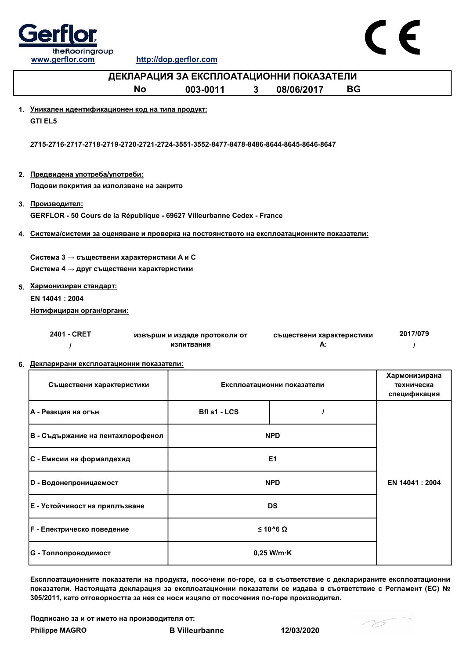



|                                                                                                       | ----------------                            |  |                                 |           |                                             |  |
|-------------------------------------------------------------------------------------------------------|---------------------------------------------|--|---------------------------------|-----------|---------------------------------------------|--|
| ДЕКЛАРАЦИЯ ЗА ЕКСПЛОАТАЦИОННИ ПОКАЗАТЕЛИ                                                              |                                             |  |                                 |           |                                             |  |
| <b>No</b>                                                                                             | 003-0011<br>3 <sup>1</sup>                  |  | 08/06/2017                      | <b>BG</b> |                                             |  |
| 1. Уникален идентификационен код на типа продукт:<br><b>GTI EL5</b>                                   |                                             |  |                                 |           |                                             |  |
| 2715-2716-2717-2718-2719-2720-2721-2724-3551-3552-8477-8478-8486-8644-8645-8646-8647                  |                                             |  |                                 |           |                                             |  |
| 2. Предвидена употреба/употреби:<br>Подови покрития за използване на закрито                          |                                             |  |                                 |           |                                             |  |
| 3. Производител:<br>GERFLOR - 50 Cours de la République - 69627 Villeurbanne Cedex - France           |                                             |  |                                 |           |                                             |  |
| 4. Система/системи за оценяване и проверка на постоянството на експлоатационните показатели:          |                                             |  |                                 |           |                                             |  |
| Система 3 $\rightarrow$ съществени характеристики А и С<br>Система 4 → друг съществени характеристики |                                             |  |                                 |           |                                             |  |
| 5. Хармонизиран стандарт:                                                                             |                                             |  |                                 |           |                                             |  |
| EN 14041 : 2004                                                                                       |                                             |  |                                 |           |                                             |  |
| Нотифициран орган/органи:                                                                             |                                             |  |                                 |           |                                             |  |
| 2401 - CRET                                                                                           | извърши и издаде протоколи от<br>изпитвания |  | съществени характеристики<br>А: |           | 2017/079                                    |  |
| 6. Декларирани експлоатационни показатели:                                                            |                                             |  |                                 |           |                                             |  |
| Съществени характеристики                                                                             |                                             |  | Експлоатационни показатели      |           | Хармонизирана<br>техническа<br>спецификация |  |
| А - Реакция на огън                                                                                   | Bfl s1 - LCS                                |  | $\prime$                        |           |                                             |  |
| В - Съдържание на пентахлорофенол                                                                     |                                             |  | <b>NPD</b>                      |           |                                             |  |
| С - Емисии на формалдехид                                                                             |                                             |  | Ε1                              |           |                                             |  |
| <b>D</b> - Водонепроницаемост                                                                         |                                             |  | <b>NPD</b>                      |           | EN 14041: 2004                              |  |
| Е - Устойчивост на приплъзване                                                                        |                                             |  | <b>DS</b>                       |           |                                             |  |
| <b>F</b> - Електрическо поведение                                                                     |                                             |  | $≤ 10^6 Ω$                      |           |                                             |  |

Експлоатационните показатели на продукта, посочени по-горе, са в съответствие с декларираните експлоатационни показатели. Настоящата декларация за експлоатационни показатели се издава в съответствие с Регламент (ЕС) № 305/2011, като отговорността за нея се носи изцяло от посочения по-горе производител.

Подписано за и от името на производителя от:

G - Топлопроводимост Редакция и професора в 1992 году в 1993 году в 1993 году в 1993 году в 1993 году в 1993 году в 1993 году в 1993 году в 1993 году в 1993 году в 1994 году в 1994 году в 1994 году в 1994 году в 1994 году

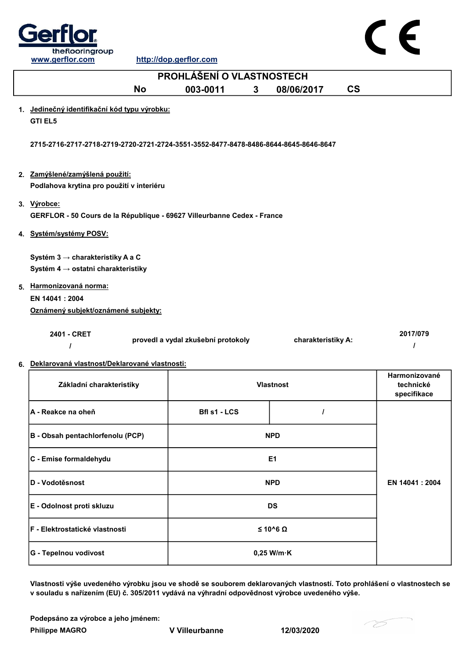

|    | PROHLÁŠENÍ O VLASTNOSTECH                                                              |                                    |              |                    |                          |               |
|----|----------------------------------------------------------------------------------------|------------------------------------|--------------|--------------------|--------------------------|---------------|
|    | <b>No</b>                                                                              | 003-0011                           | $\mathbf{3}$ | 08/06/2017         | $\mathsf{CS}\phantom{0}$ |               |
|    | 1. Jedinečný identifikační kód typu výrobku:<br><b>GTI EL5</b>                         |                                    |              |                    |                          |               |
|    | 2715-2716-2717-2718-2719-2720-2721-2724-3551-3552-8477-8478-8486-8644-8645-8646-8647   |                                    |              |                    |                          |               |
|    | 2. Zamýšlené/zamýšlená použití:<br>Podlahova krytina pro použití v interiéru           |                                    |              |                    |                          |               |
|    | 3. Výrobce:<br>GERFLOR - 50 Cours de la République - 69627 Villeurbanne Cedex - France |                                    |              |                    |                          |               |
|    | 4. Systém/systémy POSV:                                                                |                                    |              |                    |                          |               |
|    | Systém 3 → charakteristiky A a C                                                       |                                    |              |                    |                          |               |
|    | Systém 4 $\rightarrow$ ostatni charakteristiky                                         |                                    |              |                    |                          |               |
|    | 5. Harmonizovaná norma:<br>EN 14041 : 2004<br>Oznámený subjekt/oznámené subjekty:      |                                    |              |                    |                          |               |
|    | 2401 - CRET                                                                            | provedl a vydal zkušební protokoly |              | charakteristiky A: |                          | 2017/079<br>I |
| 6. | Deklarovaná vlastnosť/Deklarované vlastnosti:                                          |                                    |              |                    |                          |               |
|    |                                                                                        |                                    |              |                    |                          | Harmonizované |

| Základní charakteristiky               | <b>Vlastnost</b>     | <b>Harmonizované</b><br>technické<br>specifikace |  |
|----------------------------------------|----------------------|--------------------------------------------------|--|
| │A - Reakce na oheň                    | <b>Bfl s1 - LCS</b>  |                                                  |  |
| B - Obsah pentachlorfenolu (PCP)       | <b>NPD</b>           |                                                  |  |
| C - Emise formaldehydu                 | E <sub>1</sub>       |                                                  |  |
| <b>ID - Vodotěsnost</b>                | <b>NPD</b>           | EN 14041 : 2004                                  |  |
| E - Odolnost proti skluzu              | <b>DS</b>            |                                                  |  |
| <b>IF - Elektrostatické vlastnosti</b> | $≤ 10^6 Ω$           |                                                  |  |
| <b>G - Tepelnou vodivost</b>           | $0,25$ W/m $\cdot$ K |                                                  |  |

Vlastnosti výše uvedeného výrobku jsou ve shodě se souborem deklarovaných vlastností. Toto prohlášení o vlastnostech se v souladu s nařízením (EU) č. 305/2011 vydává na výhradní odpovědnost výrobce uvedeného výše.

Philippe MAGRO V Villeurbanne 12/03/2020 Podepsáno za výrobce a jeho jménem:

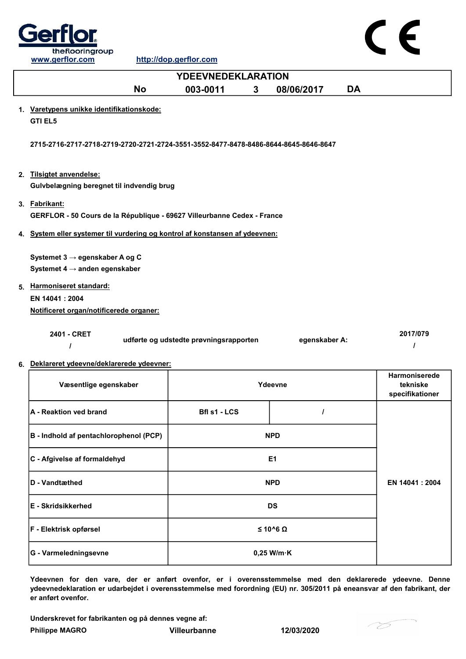

www.gerflor.com http://dop.gerflor.com

|    | <u>www.gernor.com</u>                                                                    | <u>mup://uop.gernor.com</u>            |              |                |           |                                                     |
|----|------------------------------------------------------------------------------------------|----------------------------------------|--------------|----------------|-----------|-----------------------------------------------------|
|    |                                                                                          | <b>YDEEVNEDEKLARATION</b>              |              |                |           |                                                     |
|    | <b>No</b>                                                                                | 003-0011                               | $\mathbf{3}$ | 08/06/2017     | <b>DA</b> |                                                     |
|    | 1. Varetypens unikke identifikationskode:<br><b>GTI EL5</b>                              |                                        |              |                |           |                                                     |
|    | 2715-2716-2717-2718-2719-2720-2721-2724-3551-3552-8477-8478-8486-8644-8645-8646-8647     |                                        |              |                |           |                                                     |
|    | 2. Tilsigtet anvendelse:<br>Gulvbelægning beregnet til indvendig brug                    |                                        |              |                |           |                                                     |
|    | 3. Fabrikant:<br>GERFLOR - 50 Cours de la République - 69627 Villeurbanne Cedex - France |                                        |              |                |           |                                                     |
|    | 4. System eller systemer til vurdering og kontrol af konstansen af ydeevnen:             |                                        |              |                |           |                                                     |
|    | Systemet 3 → egenskaber A og C                                                           |                                        |              |                |           |                                                     |
|    | Systemet 4 $\rightarrow$ anden egenskaber                                                |                                        |              |                |           |                                                     |
|    | 5. Harmoniseret standard:<br>EN 14041: 2004                                              |                                        |              |                |           |                                                     |
|    | Notificeret organ/notificerede organer:                                                  |                                        |              |                |           |                                                     |
|    | 2401 - CRET<br>$\prime$                                                                  | udførte og udstedte prøvningsrapporten |              | egenskaber A:  |           | 2017/079<br>$\prime$                                |
| 6. | Deklareret ydeevne/deklarerede ydeevner:                                                 |                                        |              |                |           |                                                     |
|    | Væsentlige egenskaber                                                                    |                                        |              | Ydeevne        |           | <b>Harmoniserede</b><br>tekniske<br>specifikationer |
|    | A - Reaktion ved brand                                                                   | <b>Bfl s1 - LCS</b>                    |              | $\overline{I}$ |           |                                                     |
|    | B - Indhold af pentachlorophenol (PCP)                                                   |                                        |              | <b>NPD</b>     |           |                                                     |
|    | C - Afgivelse af formaldehyd                                                             |                                        |              | E1             |           |                                                     |

Ydeevnen for den vare, der er anført ovenfor, er i overensstemmelse med den deklarerede ydeevne. Denne ydeevnedeklaration er udarbejdet i overensstemmelse med forordning (EU) nr. 305/2011 på eneansvar af den fabrikant, der er anført ovenfor.

DS

Underskrevet for fabrikanten og på dennes vegne af:

D - Vandtæthed NPD

F - Elektrisk opførsel ≤ 10^6 Ω

G - Varmeledningsevne by a control of the control of the 0,25 W/m·K

Philippe MAGRO Villeurbanne 12/03/2020

E - Skridsikkerhed



EN 14041 : 2004

CE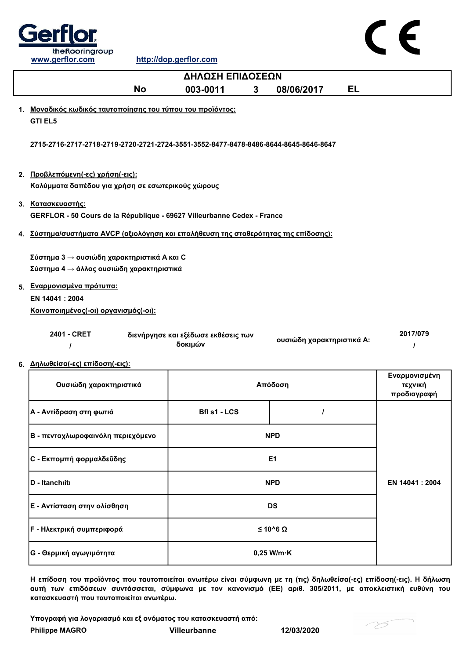

| ΔΗΛΩΣΗ ΕΠΙΔΟΣΕΩΝ                                                                             |                                                |   |                           |    |                                         |  |
|----------------------------------------------------------------------------------------------|------------------------------------------------|---|---------------------------|----|-----------------------------------------|--|
| <b>No</b>                                                                                    | 003-0011                                       | 3 | 08/06/2017                | EL |                                         |  |
| 1. Μοναδικός κωδικός ταυτοποίησης του τύπου του προϊόντος:                                   |                                                |   |                           |    |                                         |  |
| <b>GTI EL5</b>                                                                               |                                                |   |                           |    |                                         |  |
| 2715-2716-2717-2718-2719-2720-2721-2724-3551-3552-8477-8478-8486-8644-8645-8646-8647         |                                                |   |                           |    |                                         |  |
| 2. Προβλεπόμενη(-ες) χρήση(-εις):<br>Καλύμματα δαπέδου για χρήση σε εσωτερικούς χώρους       |                                                |   |                           |    |                                         |  |
| 3. Κατασκευαστής:<br>GERFLOR - 50 Cours de la République - 69627 Villeurbanne Cedex - France |                                                |   |                           |    |                                         |  |
| 4. Σύστημα/συστήματα AVCP (αξιολόγηση και επαλήθευση της σταθερότητας της επίδοσης):         |                                                |   |                           |    |                                         |  |
| Σύστημα 3 → ουσιώδη χαρακτηριστικά Α και C<br>Σύστημα 4 → άλλος ουσιώδη χαρακτηριστικά       |                                                |   |                           |    |                                         |  |
| 5. Εναρμονισμένα πρότυπα:                                                                    |                                                |   |                           |    |                                         |  |
| EN 14041 : 2004                                                                              |                                                |   |                           |    |                                         |  |
| Κοινοποιημένος(-οι) οργανισμός(-οι):                                                         |                                                |   |                           |    |                                         |  |
| 2401 - CRET<br>$\prime$                                                                      | διενήργησε και εξέδωσε εκθέσεις των<br>δοκιμών |   | ουσιώδη χαρακτηριστικά Α: |    | 2017/079<br>$\prime$                    |  |
| 6. Δηλωθείσα(-ες) επίδοση(-εις):                                                             |                                                |   |                           |    |                                         |  |
| Ουσιώδη χαρακτηριστικά                                                                       |                                                |   | Απόδοση                   |    | Εναρμονισμένη<br>τεχνική<br>προδιαγραφή |  |
| Α - Αντίδραση στη φωτιά                                                                      | Bfl s1 - LCS                                   |   | $\prime$                  |    |                                         |  |
| Β - πενταχλωροφαινόλη περιεχόμενο                                                            |                                                |   | <b>NPD</b>                |    |                                         |  |
| C - Εκπομπή φορμαλδεΰδης                                                                     |                                                |   | E1                        |    |                                         |  |

| <b>ID - Itanchiiti</b>      | <b>NPD</b>           | EN 14041 : 2004 |
|-----------------------------|----------------------|-----------------|
| Ε - Αντίσταση στην ολίσθηση | <b>DS</b>            |                 |
| Γ - Ηλεκτρική συμπεριφορά   | $\leq$ 10^6 $\Omega$ |                 |
| G - Θερμική αγωγιμότητα     | $0,25$ W/m $\cdot$ K |                 |
|                             |                      |                 |

Η επίδοση του προϊόντος που ταυτοποιείται ανωτέρω είναι σύμφωνη με τη (τις) δηλωθείσα(-ες) επίδοση(-εις). Η δήλωση αυτή των επιδόσεων συντάσσεται, σύμφωνα με τον κανονισμό (ΕΕ) αριθ. 305/2011, με αποκλειστική ευθύνη του κατασκευαστή που ταυτοποιείται ανωτέρω.

Υπογραφή για λογαριασμό και εξ ονόματος του κατασκευαστή από:

Philippe MAGRO Villeurbanne 12/03/2020

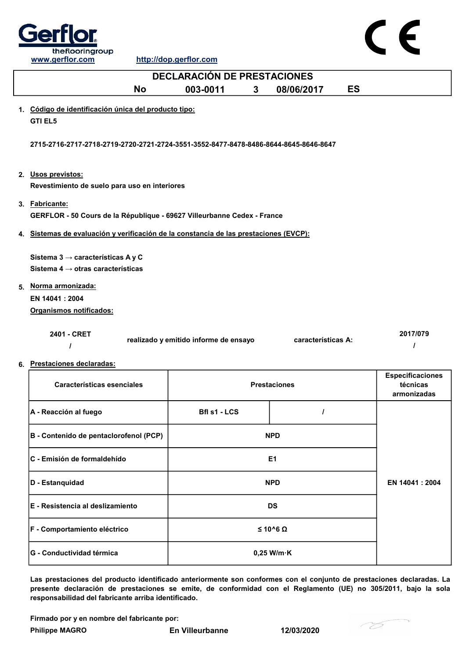

| <b>DECLARACIÓN DE PRESTACIONES</b>                                                             |                                       |                |                     |           |                                                    |  |
|------------------------------------------------------------------------------------------------|---------------------------------------|----------------|---------------------|-----------|----------------------------------------------------|--|
| <b>No</b>                                                                                      | 003-0011<br>3 <sup>1</sup>            |                | 08/06/2017          | <b>ES</b> |                                                    |  |
| 1. Código de identificación única del producto tipo:<br><b>GTI EL5</b>                         |                                       |                |                     |           |                                                    |  |
| 2715-2716-2717-2718-2719-2720-2721-2724-3551-3552-8477-8478-8486-8644-8645-8646-8647           |                                       |                |                     |           |                                                    |  |
| 2. Usos previstos:<br>Revestimiento de suelo para uso en interiores                            |                                       |                |                     |           |                                                    |  |
| 3. Fabricante:<br>GERFLOR - 50 Cours de la République - 69627 Villeurbanne Cedex - France      |                                       |                |                     |           |                                                    |  |
| 4. Sistemas de evaluación y verificación de la constancia de las prestaciones (EVCP):          |                                       |                |                     |           |                                                    |  |
| Sistema 3 $\rightarrow$ características A y C<br>Sistema 4 $\rightarrow$ otras características |                                       |                |                     |           |                                                    |  |
| 5. Norma armonizada:                                                                           |                                       |                |                     |           |                                                    |  |
| EN 14041 : 2004                                                                                |                                       |                |                     |           |                                                    |  |
| Organismos notificados:                                                                        |                                       |                |                     |           |                                                    |  |
| 2401 - CRET                                                                                    | realizado y emitido informe de ensayo |                | características A:  |           | 2017/079<br>1                                      |  |
| 6. Prestaciones declaradas:                                                                    |                                       |                |                     |           |                                                    |  |
| <b>Características esenciales</b>                                                              |                                       |                | <b>Prestaciones</b> |           | <b>Especificaciones</b><br>técnicas<br>armonizadas |  |
| A - Reacción al fuego                                                                          | Bfl s1 - LCS                          |                | I                   |           |                                                    |  |
| B - Contenido de pentaclorofenol (PCP)                                                         |                                       | <b>NPD</b>     |                     |           |                                                    |  |
| C - Emisión de formaldehído                                                                    |                                       | E <sub>1</sub> |                     |           |                                                    |  |
| D - Estanquidad                                                                                |                                       | <b>NPD</b>     |                     |           | EN 14041 : 2004                                    |  |
| E - Resistencia al deslizamiento                                                               |                                       | <b>DS</b>      |                     |           |                                                    |  |

F - Comportamiento eléctrico ≤ 10^6 Ω G - Conductividad térmica de de la conductividad térmica de la conductividad térmica de la conductividad térmica

Las prestaciones del producto identificado anteriormente son conformes con el conjunto de prestaciones declaradas. La presente declaración de prestaciones se emite, de conformidad con el Reglamento (UE) no 305/2011, bajo la sola responsabilidad del fabricante arriba identificado.

Firmado por y en nombre del fabricante por:

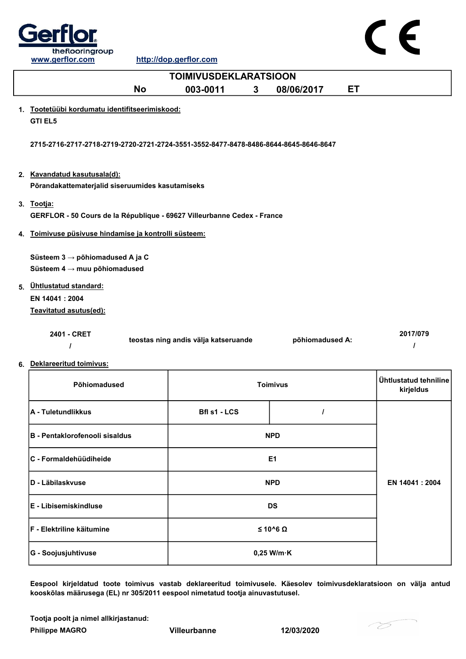

|    | <b>TOIMIVUSDEKLARATSIOON</b>                                                                    |                                      |                 |    |                                    |  |
|----|-------------------------------------------------------------------------------------------------|--------------------------------------|-----------------|----|------------------------------------|--|
|    | <b>No</b>                                                                                       | 003-0011<br>$\mathbf{3}$             | 08/06/2017      | ET |                                    |  |
|    | 1. Tootetüübi kordumatu identifitseerimiskood:<br><b>GTI EL5</b>                                |                                      |                 |    |                                    |  |
|    | 2715-2716-2717-2718-2719-2720-2721-2724-3551-3552-8477-8478-8486-8644-8645-8646-8647            |                                      |                 |    |                                    |  |
|    | 2. Kavandatud kasutusala(d):<br>Põrandakattematerjalid siseruumides kasutamiseks                |                                      |                 |    |                                    |  |
|    | 3. Tootja:<br>GERFLOR - 50 Cours de la République - 69627 Villeurbanne Cedex - France           |                                      |                 |    |                                    |  |
| 4. | Toimivuse püsivuse hindamise ja kontrolli süsteem:                                              |                                      |                 |    |                                    |  |
|    | Süsteem $3 \rightarrow p\ddot{o}$ hiomadused A ja C<br>Süsteem $4 \rightarrow$ muu põhiomadused |                                      |                 |    |                                    |  |
|    | 5. Ühtlustatud standard:                                                                        |                                      |                 |    |                                    |  |
|    | EN 14041: 2004<br>Teavitatud asutus(ed):                                                        |                                      |                 |    |                                    |  |
|    | 2401 - CRET<br>$\prime$<br>6. Deklareeritud toimivus:                                           | teostas ning andis välja katseruande | põhiomadused A: |    | 2017/079<br>$\prime$               |  |
|    | Põhiomadused                                                                                    |                                      | <b>Toimivus</b> |    | Ühtlustatud tehniline<br>kirjeldus |  |
|    | A - Tuletundlikkus                                                                              | <b>Bfl s1 - LCS</b>                  | $\prime$        |    |                                    |  |
|    | B - Pentaklorofenooli sisaldus                                                                  |                                      | <b>NPD</b>      |    |                                    |  |
|    | C - Formaldehüüdiheide                                                                          |                                      | E <sub>1</sub>  |    |                                    |  |
|    | D - Läbilaskvuse                                                                                |                                      | <b>NPD</b>      |    | EN 14041 : 2004                    |  |
|    | E - Libisemiskindluse                                                                           |                                      | <b>DS</b>       |    |                                    |  |
|    | F - Elektriline käitumine                                                                       |                                      | $≤ 10^6 Ω$      |    |                                    |  |

Eespool kirjeldatud toote toimivus vastab deklareeritud toimivusele. Käesolev toimivusdeklaratsioon on välja antud kooskõlas määrusega (EL) nr 305/2011 eespool nimetatud tootja ainuvastutusel.

Tootja poolt ja nimel allkirjastanud:

Philippe MAGRO Villeurbanne 12/03/2020

G - Soojusjuhtivuse and the control of the control of the control of the control of the control of the control of the control of the control of the control of the control of the control of the control of the control of the

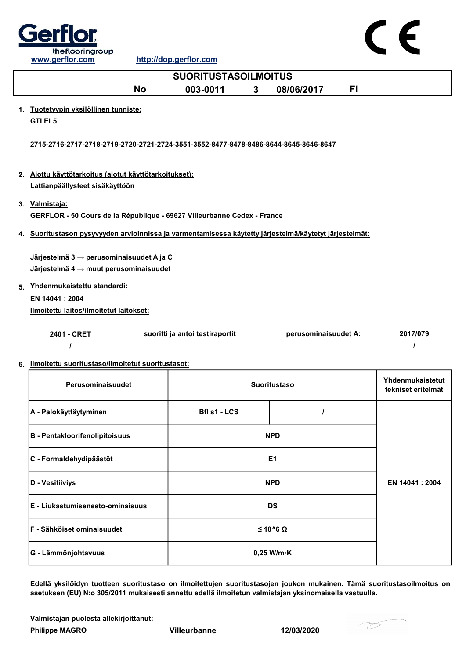

| <b>Oell lor</b>                    |           |                             |   |            |    |  |
|------------------------------------|-----------|-----------------------------|---|------------|----|--|
| theflooringroup<br>www.gerflor.com |           | http://dop.gerflor.com      |   |            |    |  |
|                                    |           | <b>SUORITUSTASOILMOITUS</b> |   |            |    |  |
|                                    | <b>No</b> | 003-0011                    | 3 | 08/06/2017 | FI |  |
|                                    |           |                             |   |            |    |  |

 $\blacksquare$ 

- 2. Aiottu käyttötarkoitus (aiotut käyttötarkoitukset): Lattianpäällysteet sisäkäyttöön
- 3. Valmistaja: GERFLOR - 50 Cours de la République - 69627 Villeurbanne Cedex - France
- 4. Suoritustason pysyvyyden arvioinnissa ja varmentamisessa käytetty järjestelmä/käytetyt järjestelmät:

Järjestelmä 3 → perusominaisuudet A ja C Järjestelmä 4  $\rightarrow$  muut perusominaisuudet

5. Yhdenmukaistettu standardi: EN 14041 : 2004 Ilmoitettu laitos/ilmoitetut laitokset:

| 2401 - CRET | suoritti ja antoi testiraportit | perusominaisuudet A: | 2017/079 |
|-------------|---------------------------------|----------------------|----------|
|             |                                 |                      |          |

6. Ilmoitettu suoritustaso/ilmoitetut suoritustasot:

| Perusominaisuudet                  | <b>Suoritustaso</b>  | Yhdenmukaistetut<br>tekniset eritelmät |  |
|------------------------------------|----------------------|----------------------------------------|--|
| A - Palokäyttäytyminen             | Bfl s1 - LCS         |                                        |  |
| B - Pentakloorifenolipitoisuus     | <b>NPD</b>           |                                        |  |
| C - Formaldehydipäästöt            | E <sub>1</sub>       |                                        |  |
| D - Vesitiiviys                    | <b>NPD</b>           | EN 14041 : 2004                        |  |
| E - Liukastumisenesto-ominaisuus   | <b>DS</b>            |                                        |  |
| <b>IF - Sähköiset ominaisuudet</b> | $≤ 10^6 Ω$           |                                        |  |
| <b>G - Lämmönjohtavuus</b>         | $0,25$ W/m $\cdot$ K |                                        |  |

Edellä yksilöidyn tuotteen suoritustaso on ilmoitettujen suoritustasojen joukon mukainen. Tämä suoritustasoilmoitus on asetuksen (EU) N:o 305/2011 mukaisesti annettu edellä ilmoitetun valmistajan yksinomaisella vastuulla.

Valmistajan puolesta allekirjoittanut:

Philippe MAGRO Villeurbanne 12/03/2020

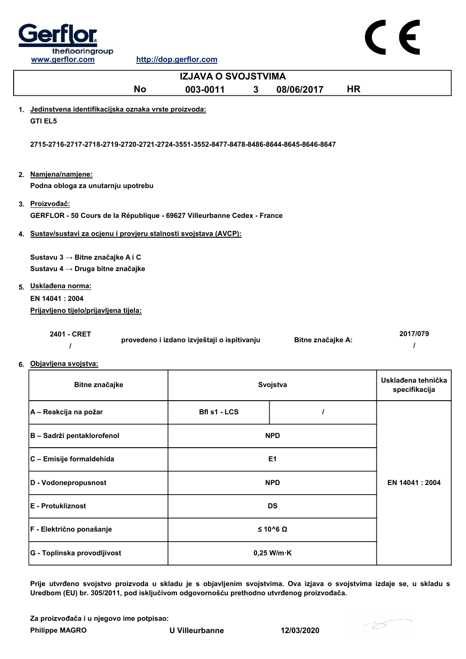

CE

| <b>IZJAVA O SVOJSTVIMA</b>                                                                  |                                             |                         |                                     |  |  |  |
|---------------------------------------------------------------------------------------------|---------------------------------------------|-------------------------|-------------------------------------|--|--|--|
| <b>No</b>                                                                                   | 003-0011<br>3                               | <b>HR</b><br>08/06/2017 |                                     |  |  |  |
| 1. Jedinstvena identifikacijska oznaka vrste proizvoda:<br><b>GTI EL5</b>                   |                                             |                         |                                     |  |  |  |
| 2715-2716-2717-2718-2719-2720-2721-2724-3551-3552-8477-8478-8486-8644-8645-8646-8647        |                                             |                         |                                     |  |  |  |
| 2. Namjena/namjene:<br>Podna obloga za unutarnju upotrebu                                   |                                             |                         |                                     |  |  |  |
| 3. Proizvođač:<br>GERFLOR - 50 Cours de la République - 69627 Villeurbanne Cedex - France   |                                             |                         |                                     |  |  |  |
| 4. Sustav/sustavi za ocjenu i provjeru stalnosti svojstava (AVCP):                          |                                             |                         |                                     |  |  |  |
| Sustavu 3 → Bitne značajke A i C<br>Sustavu 4 → Druga bitne značajke<br>5. Uskladena norma: |                                             |                         |                                     |  |  |  |
| EN 14041: 2004                                                                              |                                             |                         |                                     |  |  |  |
| Prijavljeno tijelo/prijavljena tijela:                                                      |                                             |                         |                                     |  |  |  |
| 2401 - CRET<br>ı                                                                            | provedeno i izdano izvještaji o ispitivanju | Bitne značajke A:       | 2017/079<br>I                       |  |  |  |
| 6. Objavljena svojstva:                                                                     |                                             |                         |                                     |  |  |  |
| Bitne značajke                                                                              |                                             | Svojstva                | Usklađena tehnička<br>specifikacija |  |  |  |
| A – Reakcija na požar                                                                       | Bfl s1 - LCS                                | $\prime$                |                                     |  |  |  |
| B - Sadrži pentaklorofenol                                                                  |                                             | <b>NPD</b>              |                                     |  |  |  |
| C - Emisije formaldehida                                                                    |                                             | E <sub>1</sub>          |                                     |  |  |  |
| D - Vodonepropusnost                                                                        |                                             | <b>NPD</b>              | EN 14041 : 2004                     |  |  |  |
| E - Protukliznost                                                                           |                                             | <b>DS</b>               |                                     |  |  |  |
| F - Električno ponašanje                                                                    |                                             | $≤ 10^6 Ω$              |                                     |  |  |  |

Prije utvrđeno svojstvo proizvoda u skladu je s objavljenim svojstvima. Ova izjava o svojstvima izdaje se, u skladu s Uredbom (EU) br. 305/2011, pod isključivom odgovornošću prethodno utvrđenog proizvođača.

Za proizvođača i u njegovo ime potpisao:

Philippe MAGRO U Villeurbanne 12/03/2020

G - Toplinska provodljivost 0,25 W/m·K

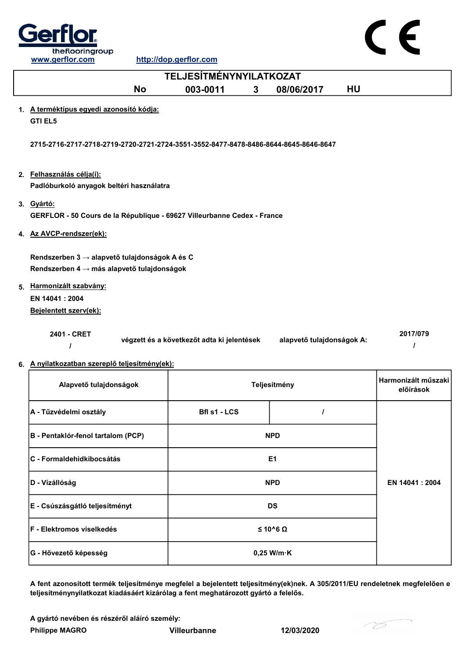

| <b>TELJESÍTMÉNYNYILATKOZAT</b>                                                              |                                            |                           |                                  |  |  |
|---------------------------------------------------------------------------------------------|--------------------------------------------|---------------------------|----------------------------------|--|--|
| <b>No</b>                                                                                   | 003-0011<br>3                              | <b>HU</b><br>08/06/2017   |                                  |  |  |
| 1. A terméktípus egyedi azonosító kódja:<br><b>GTI EL5</b>                                  |                                            |                           |                                  |  |  |
| 2715-2716-2717-2718-2719-2720-2721-2724-3551-3552-8477-8478-8486-8644-8645-8646-8647        |                                            |                           |                                  |  |  |
| 2. Felhasználás célja(i):<br>Padlóburkoló anyagok beltéri használatra                       |                                            |                           |                                  |  |  |
| 3. Gyártó:<br>GERFLOR - 50 Cours de la République - 69627 Villeurbanne Cedex - France       |                                            |                           |                                  |  |  |
| 4. Az AVCP-rendszer(ek):                                                                    |                                            |                           |                                  |  |  |
| Rendszerben 3 → alapvető tulajdonságok A és C<br>Rendszerben 4 → más alapvető tulajdonságok |                                            |                           |                                  |  |  |
| 5. Harmonizált szabvány:<br>EN 14041: 2004<br>Bejelentett szerv(ek):                        |                                            |                           |                                  |  |  |
| 2401 - CRET<br>I                                                                            | végzett és a következőt adta ki jelentések | alapvető tulajdonságok A: | 2017/079<br>$\prime$             |  |  |
| 6. A nyilatkozatban szereplő teljesítmény(ek):                                              |                                            |                           |                                  |  |  |
| Alapvető tulajdonságok                                                                      |                                            | Teljesítmény              | Harmonizált műszaki<br>előírások |  |  |
| A - Tűzvédelmi osztály                                                                      | <b>Bfl s1 - LCS</b>                        | $\prime$                  |                                  |  |  |

| <b>A - Tuzvedelilli OSZtaly</b>    | <b>DIISI-LUJ</b>       |  |                 |
|------------------------------------|------------------------|--|-----------------|
| B - Pentaklór-fenol tartalom (PCP) | <b>NPD</b>             |  |                 |
| C - Formaldehidkibocsátás          | E <sub>1</sub>         |  |                 |
| D - Vízállóság                     | <b>NPD</b>             |  | EN 14041 : 2004 |
| E - Csúszásgátló teljesítményt     | <b>DS</b>              |  |                 |
| F - Elektromos viselkedés          | $\leq 10^{6}$ $\Omega$ |  |                 |
| G - Hővezető képesség              | $0,25$ W/m $\cdot$ K   |  |                 |

A fent azonosított termék teljesítménye megfelel a bejelentett teljesítmény(ek)nek. A 305/2011/EU rendeletnek megfelelően e teljesítménynyilatkozat kiadásáért kizárólag a fent meghatározott gyártó a felelős.

A gyártó nevében és részéről aláíró személy:

Philippe MAGRO Villeurbanne 12/03/2020

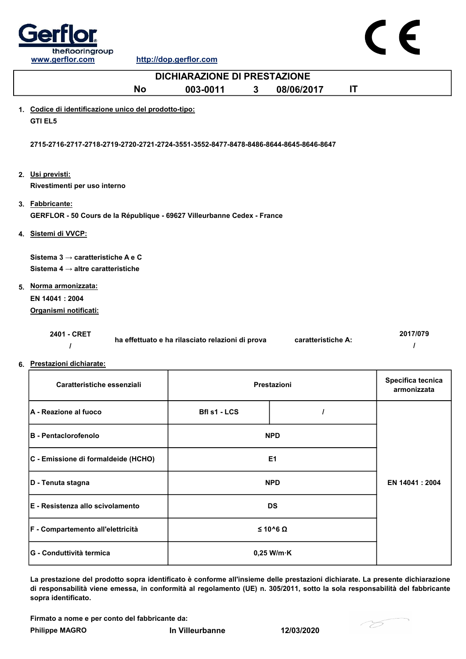

| <b>DICHIARAZIONE DI PRESTAZIONE</b>                                                        |                                                  |                    |                                  |  |  |
|--------------------------------------------------------------------------------------------|--------------------------------------------------|--------------------|----------------------------------|--|--|
| <b>No</b>                                                                                  | 003-0011<br>3                                    | IT<br>08/06/2017   |                                  |  |  |
| 1. Codice di identificazione unico del prodotto-tipo:<br><b>GTI EL5</b>                    |                                                  |                    |                                  |  |  |
| 2715-2716-2717-2718-2719-2720-2721-2724-3551-3552-8477-8478-8486-8644-8645-8646-8647       |                                                  |                    |                                  |  |  |
| 2. Usi previsti:<br>Rivestimenti per uso interno                                           |                                                  |                    |                                  |  |  |
| 3. Fabbricante:<br>GERFLOR - 50 Cours de la République - 69627 Villeurbanne Cedex - France |                                                  |                    |                                  |  |  |
| 4. Sistemi di VVCP:                                                                        |                                                  |                    |                                  |  |  |
| Sistema $3 \rightarrow$ caratteristiche A e C                                              |                                                  |                    |                                  |  |  |
| Sistema 4 $\rightarrow$ altre caratteristiche                                              |                                                  |                    |                                  |  |  |
| 5. Norma armonizzata:                                                                      |                                                  |                    |                                  |  |  |
| EN 14041 : 2004                                                                            |                                                  |                    |                                  |  |  |
| Organismi notificati:                                                                      |                                                  |                    |                                  |  |  |
| 2401 - CRET                                                                                | ha effettuato e ha rilasciato relazioni di prova | caratteristiche A: | 2017/079<br>$\prime$             |  |  |
| 6. Prestazioni dichiarate:                                                                 |                                                  |                    |                                  |  |  |
| Caratteristiche essenziali<br>Prestazioni                                                  |                                                  |                    | Specifica tecnica<br>armonizzata |  |  |
|                                                                                            |                                                  |                    |                                  |  |  |

| <b>A</b> - Reazione al fuoco        | Bfl s1 - LCS         |                |  |
|-------------------------------------|----------------------|----------------|--|
| <b>B</b> - Pentaclorofenolo         | <b>NPD</b>           |                |  |
| C - Emissione di formaldeide (HCHO) | E <sub>1</sub>       |                |  |
| D - Tenuta stagna                   | <b>NPD</b>           | EN 14041: 2004 |  |
| E - Resistenza allo scivolamento    | <b>DS</b>            |                |  |
| F - Compartemento all'elettricità   | $≤ 10^6 Ω$           |                |  |
| <b>G - Conduttività termica</b>     | $0,25$ W/m $\cdot$ K |                |  |

La prestazione del prodotto sopra identificato è conforme all'insieme delle prestazioni dichiarate. La presente dichiarazione di responsabilità viene emessa, in conformità al regolamento (UE) n. 305/2011, sotto la sola responsabilità del fabbricante sopra identificato.

Firmato a nome e per conto del fabbricante da:

Philippe MAGRO **In Villeurbanne** 12/03/2020

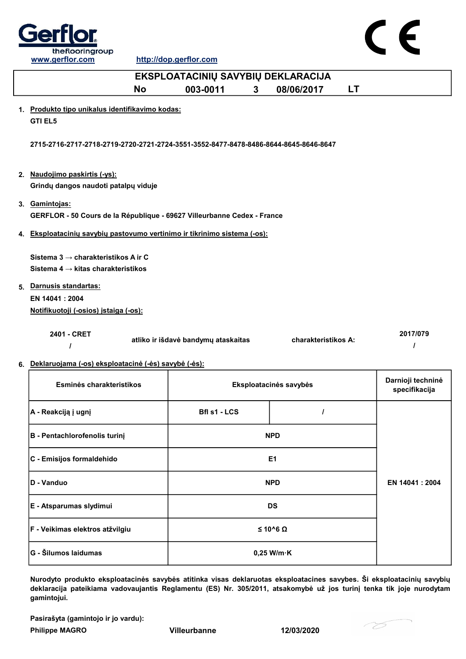



| EKSPLOATACINIŲ SAVYBIŲ DEKLARACIJA                                                                                                                                          |              |                                                                                                                                                   |                                                                                |                                                                                                                                                                                                                                                      |                                    |  |
|-----------------------------------------------------------------------------------------------------------------------------------------------------------------------------|--------------|---------------------------------------------------------------------------------------------------------------------------------------------------|--------------------------------------------------------------------------------|------------------------------------------------------------------------------------------------------------------------------------------------------------------------------------------------------------------------------------------------------|------------------------------------|--|
| <b>No</b>                                                                                                                                                                   | 003-0011     |                                                                                                                                                   | 08/06/2017                                                                     | LT                                                                                                                                                                                                                                                   |                                    |  |
| <b>GTI EL5</b>                                                                                                                                                              |              |                                                                                                                                                   |                                                                                |                                                                                                                                                                                                                                                      |                                    |  |
|                                                                                                                                                                             |              |                                                                                                                                                   |                                                                                |                                                                                                                                                                                                                                                      |                                    |  |
| 2. Naudojimo paskirtis (-ys):<br>Grindų dangos naudoti patalpų viduje                                                                                                       |              |                                                                                                                                                   |                                                                                |                                                                                                                                                                                                                                                      |                                    |  |
| 3. Gamintojas:                                                                                                                                                              |              |                                                                                                                                                   |                                                                                |                                                                                                                                                                                                                                                      |                                    |  |
|                                                                                                                                                                             |              |                                                                                                                                                   |                                                                                |                                                                                                                                                                                                                                                      |                                    |  |
| Sistema 3 → charakteristikos A ir C<br>Sistema 4 $\rightarrow$ kitas charakteristikos<br>5. Darnusis standartas:<br>EN 14041: 2004<br>Notifikuotoji (-osios) įstaiga (-os): |              |                                                                                                                                                   |                                                                                |                                                                                                                                                                                                                                                      |                                    |  |
| 2401 - CRET<br>I                                                                                                                                                            |              |                                                                                                                                                   |                                                                                |                                                                                                                                                                                                                                                      | 2017/079                           |  |
| Esminės charakteristikos                                                                                                                                                    |              |                                                                                                                                                   |                                                                                |                                                                                                                                                                                                                                                      | Darnioji techninė<br>specifikacija |  |
| A - Reakciją į ugnį                                                                                                                                                         | Bfl s1 - LCS |                                                                                                                                                   | I                                                                              |                                                                                                                                                                                                                                                      |                                    |  |
| B - Pentachlorofenolis turinį                                                                                                                                               |              |                                                                                                                                                   |                                                                                |                                                                                                                                                                                                                                                      |                                    |  |
| C - Emisijos formaldehido                                                                                                                                                   |              |                                                                                                                                                   |                                                                                |                                                                                                                                                                                                                                                      |                                    |  |
| D - Vanduo                                                                                                                                                                  |              |                                                                                                                                                   |                                                                                |                                                                                                                                                                                                                                                      | EN 14041 : 2004                    |  |
| E - Atsparumas slydimui                                                                                                                                                     |              |                                                                                                                                                   |                                                                                |                                                                                                                                                                                                                                                      |                                    |  |
|                                                                                                                                                                             |              | 1. Produkto tipo unikalus identifikavimo kodas:<br>atliko ir išdavė bandymų ataskaitas<br>6. Deklaruojama (-os) eksploatacinė (-ės) savybė (-ės): | 3<br>4. Eksploatacinių savybių pastovumo vertinimo ir tikrinimo sistema (-os): | 2715-2716-2717-2718-2719-2720-2721-2724-3551-3552-8477-8478-8486-8644-8645-8646-8647<br>GERFLOR - 50 Cours de la République - 69627 Villeurbanne Cedex - France<br>Eksploatacinės savybės<br><b>NPD</b><br>E <sub>1</sub><br><b>NPD</b><br><b>DS</b> | charakteristikos A:                |  |

Nurodyto produkto eksploatacinės savybės atitinka visas deklaruotas eksploatacines savybes. Ši eksploatacinių savybių deklaracija pateikiama vadovaujantis Reglamentu (ES) Nr. 305/2011, atsakomybė už jos turinį tenka tik joje nurodytam gamintojui.

≤ 10^6 Ω

Pasirašyta (gamintojo ir jo vardu):

F - Veikimas elektros atžvilgiu

Philippe MAGRO Villeurbanne 12/03/2020

G - Šilumos laidumas based based based on the contract of the contract of the contract of the contract of the contract of the contract of the contract of the contract of the contract of the contract of the contract of the

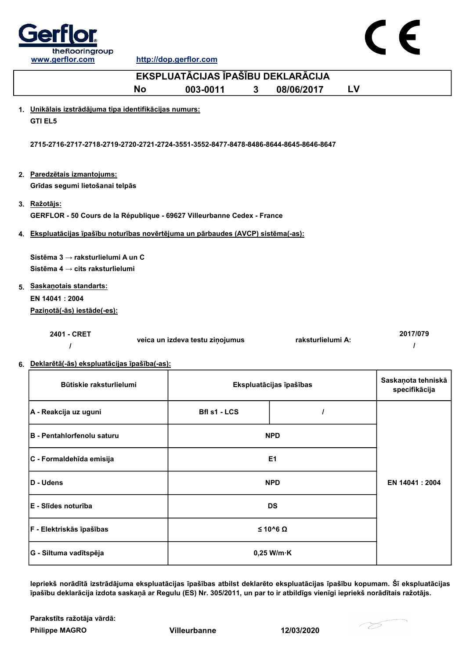

http://dop.gerflor.com

| EKSPLUATĀCIJAS ĪPAŠĪBU DEKLARĀCIJA                                                   |                                 |                         |                                     |  |  |
|--------------------------------------------------------------------------------------|---------------------------------|-------------------------|-------------------------------------|--|--|
| <b>No</b>                                                                            | 003-0011<br>$\mathbf{3}$        | <b>LV</b><br>08/06/2017 |                                     |  |  |
| 1. Unikālais izstrādājuma tipa identifikācijas numurs:                               |                                 |                         |                                     |  |  |
| <b>GTI EL5</b>                                                                       |                                 |                         |                                     |  |  |
| 2715-2716-2717-2718-2719-2720-2721-2724-3551-3552-8477-8478-8486-8644-8645-8646-8647 |                                 |                         |                                     |  |  |
| 2. Paredzētais izmantojums:                                                          |                                 |                         |                                     |  |  |
| Grīdas segumi lietošanai telpās                                                      |                                 |                         |                                     |  |  |
| 3. Ražotājs:                                                                         |                                 |                         |                                     |  |  |
| GERFLOR - 50 Cours de la République - 69627 Villeurbanne Cedex - France              |                                 |                         |                                     |  |  |
| 4. Ekspluatācijas īpašību noturības novērtējuma un pārbaudes (AVCP) sistēma(-as):    |                                 |                         |                                     |  |  |
|                                                                                      |                                 |                         |                                     |  |  |
| Sistēma 3 → raksturlielumi A un C                                                    |                                 |                         |                                     |  |  |
| Sistēma 4 $\rightarrow$ cits raksturlielumi                                          |                                 |                         |                                     |  |  |
| 5. Saskanotais standarts:                                                            |                                 |                         |                                     |  |  |
| EN 14041 : 2004                                                                      |                                 |                         |                                     |  |  |
| Pazinotā(-ās) iestāde(-es):                                                          |                                 |                         |                                     |  |  |
| 2401 - CRET                                                                          | veica un izdeva testu ziņojumus | raksturlielumi A:       | 2017/079<br>ı                       |  |  |
| 6. Deklarētā(-ās) ekspluatācijas īpašība(-as):                                       |                                 |                         |                                     |  |  |
| Būtiskie raksturlielumi                                                              |                                 | Ekspluatācijas īpašības | Saskaņota tehniskā<br>specifikācija |  |  |
| A - Reakcija uz uguni                                                                | Bfl s1 - LCS                    | I                       |                                     |  |  |
| B - Pentahlorfenolu saturu                                                           |                                 | <b>NPD</b>              |                                     |  |  |
| C - Formaldehīda emisija                                                             |                                 | E <sub>1</sub>          |                                     |  |  |
| D - Udens                                                                            |                                 | <b>NPD</b>              | EN 14041 : 2004                     |  |  |
| E - Slīdes noturība                                                                  |                                 | <b>DS</b>               |                                     |  |  |
| F - Elektriskās īpašības                                                             |                                 | $≤ 10^6 Ω$              |                                     |  |  |

Iepriekš norādītā izstrādājuma ekspluatācijas īpašības atbilst deklarēto ekspluatācijas īpašību kopumam. Šī ekspluatācijas īpašību deklarācija izdota saskaņā ar Regulu (ES) Nr. 305/2011, un par to ir atbildīgs vienīgi iepriekš norādītais ražotājs.

Philippe MAGRO Villeurbanne 12/03/2020 Parakstīts ražotāja vārdā:

G - Siltuma vadītspēja  $\vert$  0,25 W/m·K

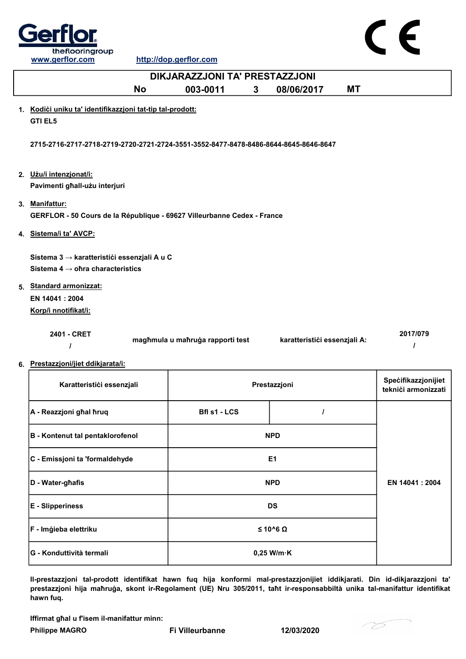

http://dop.gerflor.com

|    | DIKJARAZZJONI TA' PRESTAZZJONI                                                              |                                  |                              |                                            |  |  |
|----|---------------------------------------------------------------------------------------------|----------------------------------|------------------------------|--------------------------------------------|--|--|
|    | <b>No</b>                                                                                   | 003-0011<br>3                    | 08/06/2017<br><b>MT</b>      |                                            |  |  |
|    | 1. Kodići uniku ta' identifikazzjoni tat-tip tal-prodott:<br><b>GTI EL5</b>                 |                                  |                              |                                            |  |  |
|    | 2715-2716-2717-2718-2719-2720-2721-2724-3551-3552-8477-8478-8486-8644-8645-8646-8647        |                                  |                              |                                            |  |  |
|    | 2. Użu/i intenzjonat/i:<br>Pavimenti għall-użu interjuri                                    |                                  |                              |                                            |  |  |
|    | 3. Manifattur:<br>GERFLOR - 50 Cours de la République - 69627 Villeurbanne Cedex - France   |                                  |                              |                                            |  |  |
| 4. | Sistema/i ta' AVCP:                                                                         |                                  |                              |                                            |  |  |
|    | Sistema 3 → karatteristići essenzjali A u C<br>Sistema 4 $\rightarrow$ ohra characteristics |                                  |                              |                                            |  |  |
|    | 5. Standard armonizzat:<br>EN 14041: 2004                                                   |                                  |                              |                                            |  |  |
|    | Korp/i nnotifikat/i:                                                                        |                                  |                              |                                            |  |  |
|    | 2401 - CRET<br>I                                                                            | magħmula u maħruġa rapporti test | karatteristići essenzjali A: | 2017/079<br>I                              |  |  |
|    | 6. Prestazzjoni/jiet ddikjarata/i:                                                          |                                  |                              |                                            |  |  |
|    | Karatteristići essenzjali                                                                   |                                  | Prestazzjoni                 | Specifikazzjonijiet<br>teknići armonizzati |  |  |
|    | A - Reazzjoni ghal hruq                                                                     | <b>Bfl s1 - LCS</b>              | $\prime$                     |                                            |  |  |
|    | <b>B</b> - Kontenut tal pentaklorofenol                                                     |                                  | <b>NPD</b>                   |                                            |  |  |
|    | C - Emissjoni ta 'formaldehyde                                                              |                                  | E <sub>1</sub>               |                                            |  |  |
|    | D - Water-ghafis                                                                            |                                  | <b>NPD</b>                   | EN 14041: 2004                             |  |  |
|    |                                                                                             |                                  |                              |                                            |  |  |

E - Slipperiness DS F - Imġieba elettriku ≤ 10^6 Ω G - Konduttività termali 0,25 W/m·K

Il-prestazzjoni tal-prodott identifikat hawn fuq hija konformi mal-prestazzjonijiet iddikjarati. Din id-dikjarazzjoni ta' prestazzjoni hija maħruġa, skont ir-Regolament (UE) Nru 305/2011, taħt ir-responsabbiltà unika tal-manifattur identifikat hawn fuq.

Iffirmat għal u f'isem il-manifattur minn:

Philippe MAGRO Fi Villeurbanne 12/03/2020

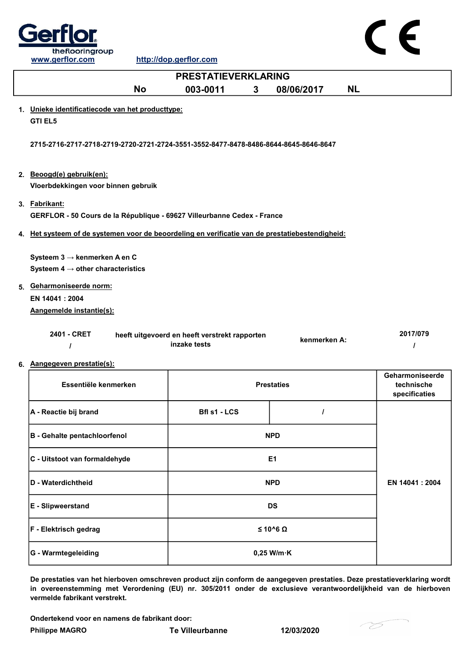



| <b>PRESTATIEVERKLARING</b>                                                                      |                                                               |                |                   |           |                                                |
|-------------------------------------------------------------------------------------------------|---------------------------------------------------------------|----------------|-------------------|-----------|------------------------------------------------|
| <b>No</b>                                                                                       | 003-0011<br>3                                                 |                | 08/06/2017        | <b>NL</b> |                                                |
| 1. Unieke identificatiecode van het producttype:<br><b>GTI EL5</b>                              |                                                               |                |                   |           |                                                |
| 2715-2716-2717-2718-2719-2720-2721-2724-3551-3552-8477-8478-8486-8644-8645-8646-8647            |                                                               |                |                   |           |                                                |
| 2. Beoogd(e) gebruik(en):<br>Vloerbdekkingen voor binnen gebruik                                |                                                               |                |                   |           |                                                |
| 3. Fabrikant:<br>GERFLOR - 50 Cours de la République - 69627 Villeurbanne Cedex - France        |                                                               |                |                   |           |                                                |
| 4. Het systeem of de systemen voor de beoordeling en verificatie van de prestatiebestendigheid: |                                                               |                |                   |           |                                                |
| Systeem $3 \rightarrow$ kenmerken A en C<br>Systeem 4 $\rightarrow$ other characteristics       |                                                               |                |                   |           |                                                |
| 5. Geharmoniseerde norm:<br>EN 14041 : 2004<br>Aangemelde instantie(s):                         |                                                               |                |                   |           |                                                |
| 2401 - CRET<br>$\prime$                                                                         | heeft uitgevoerd en heeft verstrekt rapporten<br>inzake tests |                | kenmerken A:      |           | 2017/079<br>I                                  |
| 6. Aangegeven prestatie(s):                                                                     |                                                               |                |                   |           |                                                |
| Essentiële kenmerken                                                                            |                                                               |                | <b>Prestaties</b> |           | Geharmoniseerde<br>technische<br>specificaties |
| A - Reactie bij brand                                                                           | Bfl s1 - LCS                                                  |                | $\prime$          |           |                                                |
| <b>B</b> - Gehalte pentachloorfenol                                                             |                                                               | <b>NPD</b>     |                   |           |                                                |
| C - Uitstoot van formaldehyde                                                                   |                                                               | E <sub>1</sub> |                   |           |                                                |
| D - Waterdichtheid                                                                              |                                                               | <b>NPD</b>     |                   |           | EN 14041 : 2004                                |

G - Warmtegeleiding and the control of the control of the control of the control of the control of the control of the control of the control of the control of the control of the control of the control of the control of the E - Slipweerstand DS F - Elektrisch gedrag ≤ 10^6 Ω

De prestaties van het hierboven omschreven product zijn conform de aangegeven prestaties. Deze prestatieverklaring wordt in overeenstemming met Verordening (EU) nr. 305/2011 onder de exclusieve verantwoordelijkheid van de hierboven vermelde fabrikant verstrekt.

Ondertekend voor en namens de fabrikant door:

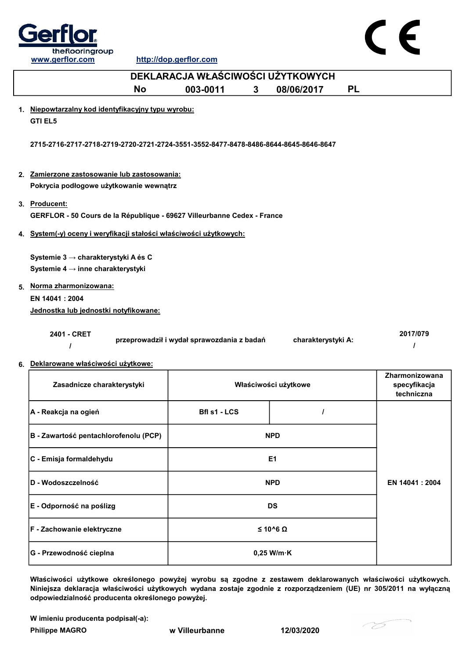



| DEKLARACJA WŁAŚCIWOŚCI UŻYTKOWYCH                                                                                                                                            |                                            |   |                      |           |                                              |  |
|------------------------------------------------------------------------------------------------------------------------------------------------------------------------------|--------------------------------------------|---|----------------------|-----------|----------------------------------------------|--|
| <b>No</b>                                                                                                                                                                    | 003-0011                                   | 3 | 08/06/2017           | <b>PL</b> |                                              |  |
| 1. Niepowtarzalny kod identyfikacyjny typu wyrobu:<br><b>GTI EL5</b>                                                                                                         |                                            |   |                      |           |                                              |  |
| 2715-2716-2717-2718-2719-2720-2721-2724-3551-3552-8477-8478-8486-8644-8645-8646-8647                                                                                         |                                            |   |                      |           |                                              |  |
| 2. Zamierzone zastosowanie lub zastosowania:                                                                                                                                 |                                            |   |                      |           |                                              |  |
| Pokrycia podłogowe użytkowanie wewnątrz                                                                                                                                      |                                            |   |                      |           |                                              |  |
| 3. Producent:                                                                                                                                                                |                                            |   |                      |           |                                              |  |
| GERFLOR - 50 Cours de la République - 69627 Villeurbanne Cedex - France                                                                                                      |                                            |   |                      |           |                                              |  |
| 4. System(-y) oceny i weryfikacji stałości właściwości użytkowych:                                                                                                           |                                            |   |                      |           |                                              |  |
| Systemie 3 → charakterystyki A és C<br>Systemie 4 $\rightarrow$ inne charakterystyki<br>5. Norma zharmonizowana:<br>EN 14041 : 2004<br>Jednostka lub jednostki notyfikowane: |                                            |   |                      |           |                                              |  |
| 2401 - CRET<br>$\prime$<br>6. Deklarowane właściwości użytkowe:                                                                                                              | przeprowadził i wydał sprawozdania z badań |   | charakterystyki A:   |           | 2017/079                                     |  |
| Zasadnicze charakterystyki                                                                                                                                                   |                                            |   | Właściwości użytkowe |           | Zharmonizowana<br>specyfikacja<br>techniczna |  |
| A - Reakcja na ogień                                                                                                                                                         | <b>Bfl s1 - LCS</b>                        |   |                      |           |                                              |  |
| B - Zawartość pentachlorofenolu (PCP)                                                                                                                                        |                                            |   | <b>NPD</b>           |           |                                              |  |
| C - Emisja formaldehydu                                                                                                                                                      |                                            |   | E1                   |           |                                              |  |
| D - Wodoszczelność                                                                                                                                                           |                                            |   | <b>NPD</b>           |           | EN 14041 : 2004                              |  |
| E - Odporność na poślizg                                                                                                                                                     |                                            |   | <b>DS</b>            |           |                                              |  |

Właściwości użytkowe określonego powyżej wyrobu są zgodne z zestawem deklarowanych właściwości użytkowych. Niniejsza deklaracja właściwości użytkowych wydana zostaje zgodnie z rozporządzeniem (UE) nr 305/2011 na wyłączną odpowiedzialność producenta określonego powyżej.

0,25 W/m·K

W imieniu producenta podpisał(-a):

G - Przewodność cieplna

Philippe MAGRO w Villeurbanne 12/03/2020

F - Zachowanie elektryczne ≤ 10^6 Ω

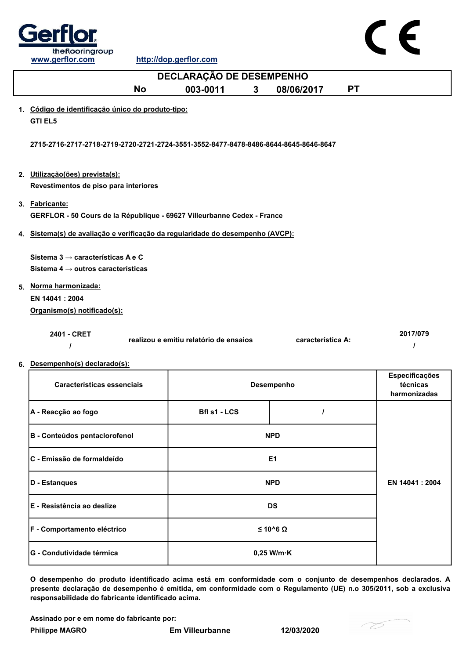

|    | DECLARAÇÃO DE DESEMPENHO                                                                        |                                        |                         |                                            |  |  |
|----|-------------------------------------------------------------------------------------------------|----------------------------------------|-------------------------|--------------------------------------------|--|--|
|    | <b>No</b>                                                                                       | 003-0011<br>$\mathbf{3}$               | <b>PT</b><br>08/06/2017 |                                            |  |  |
|    | 1. Código de identificação único do produto-tipo:<br><b>GTI EL5</b>                             |                                        |                         |                                            |  |  |
|    | 2715-2716-2717-2718-2719-2720-2721-2724-3551-3552-8477-8478-8486-8644-8645-8646-8647            |                                        |                         |                                            |  |  |
|    | 2. Utilização(ões) prevista(s):<br>Revestimentos de piso para interiores                        |                                        |                         |                                            |  |  |
|    | 3. Fabricante:<br>GERFLOR - 50 Cours de la République - 69627 Villeurbanne Cedex - France       |                                        |                         |                                            |  |  |
|    | 4. Sistema(s) de avaliação e verificação da regularidade do desempenho (AVCP):                  |                                        |                         |                                            |  |  |
|    | Sistema 3 $\rightarrow$ características A e C<br>Sistema 4 $\rightarrow$ outros características |                                        |                         |                                            |  |  |
|    | 5. Norma harmonizada:                                                                           |                                        |                         |                                            |  |  |
|    | EN 14041 : 2004<br>Organismo(s) notificado(s):                                                  |                                        |                         |                                            |  |  |
|    | 2401 - CRET                                                                                     | realizou e emitiu relatório de ensaios | característica A:       | 2017/079<br>$\prime$                       |  |  |
| 6. | Desempenho(s) declarado(s):                                                                     |                                        |                         |                                            |  |  |
|    | Características essenciais                                                                      |                                        | Desempenho              | Especificações<br>técnicas<br>harmonizadas |  |  |
|    | A - Reacção ao fogo                                                                             | Bfl s1 - LCS                           |                         |                                            |  |  |
|    | B - Conteúdos pentaclorofenol                                                                   |                                        | <b>NPD</b>              |                                            |  |  |
|    | C - Emissão de formaldeído                                                                      |                                        | E <sub>1</sub>          |                                            |  |  |
|    | D - Estanques                                                                                   |                                        | <b>NPD</b>              | EN 14041 : 2004                            |  |  |
|    | E - Resistência ao deslize                                                                      |                                        | <b>DS</b>               |                                            |  |  |
|    | F - Comportamento eléctrico                                                                     |                                        | $≤ 10^6 Ω$              |                                            |  |  |

O desempenho do produto identificado acima está em conformidade com o conjunto de desempenhos declarados. A presente declaração de desempenho é emitida, em conformidade com o Regulamento (UE) n.o 305/2011, sob a exclusiva responsabilidade do fabricante identificado acima.

Assinado por e em nome do fabricante por:

G - Condutividade térmica de de la conductividade térmica de la conductividade de la conductividade de la condu

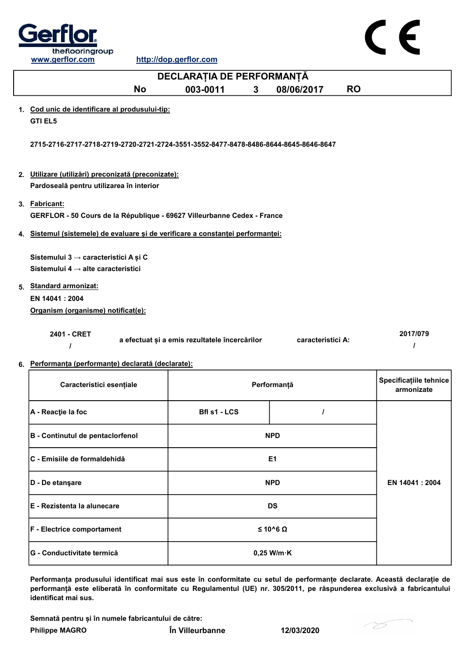

 $C \in$ 

|    | DECLARAȚIA DE PERFORMANȚĂ                                                                       |                                               |                         |                                      |  |
|----|-------------------------------------------------------------------------------------------------|-----------------------------------------------|-------------------------|--------------------------------------|--|
|    | <b>No</b>                                                                                       | 003-0011<br>3                                 | 08/06/2017<br><b>RO</b> |                                      |  |
|    | 1. Cod unic de identificare al produsului-tip:<br><b>GTI EL5</b>                                |                                               |                         |                                      |  |
|    | 2715-2716-2717-2718-2719-2720-2721-2724-3551-3552-8477-8478-8486-8644-8645-8646-8647            |                                               |                         |                                      |  |
|    | 2. Utilizare (utilizări) preconizată (preconizate):<br>Pardoseală pentru utilizarea în interior |                                               |                         |                                      |  |
|    | 3. Fabricant:<br>GERFLOR - 50 Cours de la République - 69627 Villeurbanne Cedex - France        |                                               |                         |                                      |  |
| 4. | Sistemul (sistemele) de evaluare și de verificare a constanței performanței:                    |                                               |                         |                                      |  |
|    | Sistemului 3 → caracteristici A și C<br>Sistemului 4 $\rightarrow$ alte caracteristici          |                                               |                         |                                      |  |
|    | 5. Standard armonizat:                                                                          |                                               |                         |                                      |  |
|    | EN 14041 : 2004                                                                                 |                                               |                         |                                      |  |
|    | Organism (organisme) notificat(e):                                                              |                                               |                         |                                      |  |
|    | 2401 - CRET<br>$\prime$                                                                         | a efectuat și a emis rezultatele încercărilor | caracteristici A:       | 2017/079<br>$\prime$                 |  |
|    | 6. Performanța (performanțe) declarată (declarate):                                             |                                               |                         |                                      |  |
|    | Caracteristici esențiale                                                                        |                                               | Performanță             | Specificațiile tehnice<br>armonizate |  |
|    | A - Reacție la foc                                                                              | Bfl s1 - LCS                                  | $\prime$                |                                      |  |
|    | B - Continutul de pentaclorfenol                                                                |                                               | <b>NPD</b>              |                                      |  |
|    | C - Emisiile de formaldehidă                                                                    |                                               | E <sub>1</sub>          |                                      |  |
|    | D - De etanşare                                                                                 |                                               | <b>NPD</b>              | EN 14041 : 2004                      |  |
|    | E - Rezistenta la alunecare                                                                     |                                               | <b>DS</b>               |                                      |  |
|    | F - Electrice comportament                                                                      |                                               | $≤ 10^6 Ω$              |                                      |  |
|    |                                                                                                 |                                               |                         |                                      |  |

Performanța produsului identificat mai sus este în conformitate cu setul de performanțe declarate. Această declarație de performanță este eliberată în conformitate cu Regulamentul (UE) nr. 305/2011, pe răspunderea exclusivă a fabricantului identificat mai sus.

Semnată pentru și în numele fabricantului de către:

Philippe MAGRO În Villeurbanne 12/03/2020

G - Conductivitate termică 0,25 W/m·K

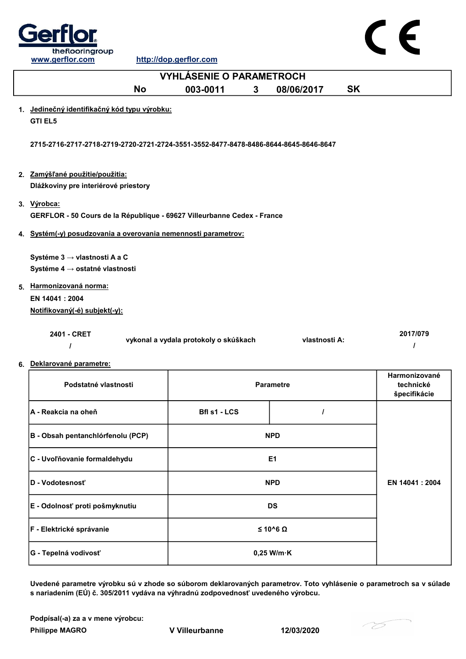

| <b>VYHLÁSENIE O PARAMETROCH</b>                                                                              |                                       |              |                  |           |                                            |
|--------------------------------------------------------------------------------------------------------------|---------------------------------------|--------------|------------------|-----------|--------------------------------------------|
| <b>No</b>                                                                                                    | 003-0011                              | $\mathbf{3}$ | 08/06/2017       | <b>SK</b> |                                            |
| 1. Jedinečný identifikačný kód typu výrobku:<br><b>GTI EL5</b>                                               |                                       |              |                  |           |                                            |
| 2715-2716-2717-2718-2719-2720-2721-2724-3551-3552-8477-8478-8486-8644-8645-8646-8647                         |                                       |              |                  |           |                                            |
| 2. Zamýšľané použitie/použitia:<br>Dlážkoviny pre interiérové priestory                                      |                                       |              |                  |           |                                            |
| 3. Výrobca:<br>GERFLOR - 50 Cours de la République - 69627 Villeurbanne Cedex - France                       |                                       |              |                  |           |                                            |
| 4. Systém(-y) posudzovania a overovania nemennosti parametrov:                                               |                                       |              |                  |           |                                            |
| Systéme 3 → vlastnosti A a C<br>Systéme 4 → ostatné vlastnosti<br>5. Harmonizovaná norma:<br>EN 14041 : 2004 |                                       |              |                  |           |                                            |
| Notifikovaný(-é) subjekt(-y):                                                                                |                                       |              |                  |           |                                            |
| 2401 - CRET<br>ı<br>6. Deklarované parametre:                                                                | vykonal a vydala protokoly o skúškach |              | vlastnosti A:    |           | 2017/079<br>ı                              |
| Podstatné vlastnosti                                                                                         |                                       |              | <b>Parametre</b> |           | Harmonizované<br>technické<br>špecifikácie |
| A - Reakcia na oheň                                                                                          | Bfl s1 - LCS                          |              | I                |           |                                            |
| B - Obsah pentanchlórfenolu (PCP)                                                                            |                                       |              | <b>NPD</b>       |           |                                            |
| C - Uvoľňovanie formaldehydu                                                                                 |                                       |              | E <sub>1</sub>   |           |                                            |
| D - Vodotesnosť                                                                                              |                                       |              | <b>NPD</b>       |           | EN 14041 : 2004                            |
| E - Odolnosť proti pošmyknutiu                                                                               |                                       |              | <b>DS</b>        |           |                                            |

Uvedené parametre výrobku sú v zhode so súborom deklarovaných parametrov. Toto vyhlásenie o parametroch sa v súlade s nariadením (EÚ) č. 305/2011 vydáva na výhradnú zodpovednosť uvedeného výrobcu.

0,25 W/m·K

Podpísal(-a) za a v mene výrobcu:

Philippe MAGRO V Villeurbanne 12/03/2020

G - Tepelná vodivosť

F - Elektrické správanie ≤ 10^6 Ω

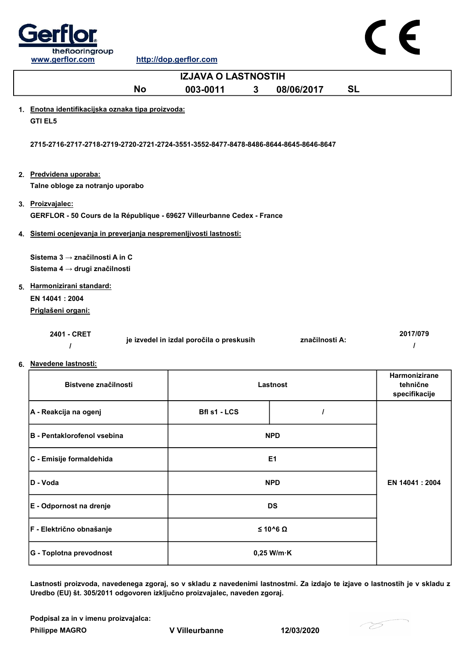

|    | <b>IZJAVA O LASTNOSTIH</b>                                                                  |                                          |                |           |                           |  |
|----|---------------------------------------------------------------------------------------------|------------------------------------------|----------------|-----------|---------------------------|--|
|    | <b>No</b>                                                                                   | 003-0011<br>$\mathbf{3}$                 | 08/06/2017     | <b>SL</b> |                           |  |
|    | 1. Enotna identifikacijska oznaka tipa proizvoda:<br><b>GTI EL5</b>                         |                                          |                |           |                           |  |
|    | 2715-2716-2717-2718-2719-2720-2721-2724-3551-3552-8477-8478-8486-8644-8645-8646-8647        |                                          |                |           |                           |  |
|    | 2. Predvidena uporaba:<br>Talne obloge za notranjo uporabo                                  |                                          |                |           |                           |  |
|    | 3. Proizvajalec:<br>GERFLOR - 50 Cours de la République - 69627 Villeurbanne Cedex - France |                                          |                |           |                           |  |
|    | 4. Sistemi ocenjevanja in preverjanja nespremenljivosti lastnosti:                          |                                          |                |           |                           |  |
|    | Sistema 3 → značilnosti A in C<br>Sistema 4 → drugi značilnosti                             |                                          |                |           |                           |  |
|    | 5. Harmonizirani standard:                                                                  |                                          |                |           |                           |  |
|    | EN 14041 : 2004<br>Priglašeni organi:                                                       |                                          |                |           |                           |  |
| 6. | 2401 - CRET<br>Navedene lastnosti:                                                          | je izvedel in izdal poročila o preskusih | značilnosti A: |           | 2017/079<br>1             |  |
|    |                                                                                             |                                          |                |           | <b>Harmonizirane</b>      |  |
|    | Bistvene značilnosti                                                                        |                                          | Lastnost       |           | tehnične<br>specifikacije |  |
|    | A - Reakcija na ogenj                                                                       | <b>Bfl s1 - LCS</b>                      | I              |           |                           |  |
|    | <b>B</b> - Pentaklorofenol vsebina                                                          |                                          | <b>NPD</b>     |           |                           |  |
|    | C - Emisije formaldehida                                                                    |                                          | E <sub>1</sub> |           |                           |  |
|    | D - Voda                                                                                    |                                          | <b>NPD</b>     |           | EN 14041 : 2004           |  |
|    | E - Odpornost na drenje                                                                     |                                          | <b>DS</b>      |           |                           |  |
|    | F - Električno obnašanje                                                                    |                                          | $≤ 10^6 Ω$     |           |                           |  |

Lastnosti proizvoda, navedenega zgoraj, so v skladu z navedenimi lastnostmi. Za izdajo te izjave o lastnostih je v skladu z Uredbo (EU) št. 305/2011 odgovoren izključno proizvajalec, naveden zgoraj.

Podpisal za in v imenu proizvajalca:

Philippe MAGRO V Villeurbanne 12/03/2020

G - Toplotna prevodnost and a metal control of the U of the U of the U of the U of the U of the U of the U of the U of the U of the U of the U of the U of the U of the U of the U of the U of the U of the U of the U of the